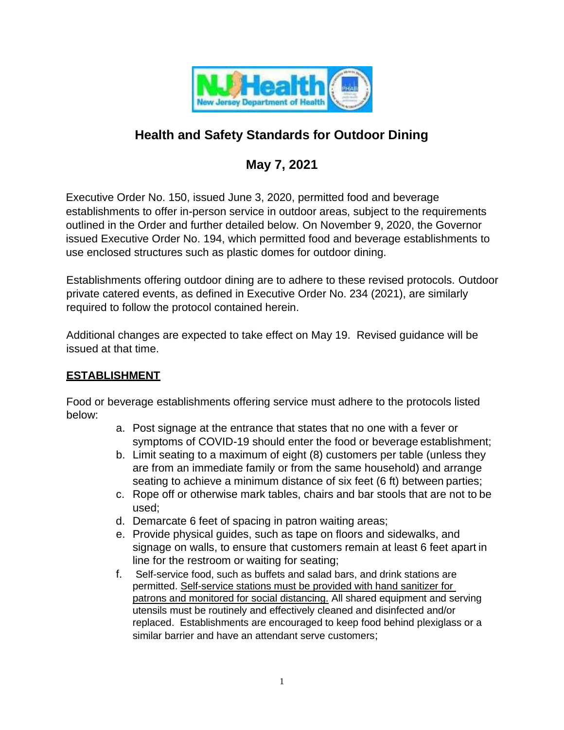

# **Health and Safety Standards for Outdoor Dining**

## **May 7, 2021**

Executive Order No. 150, issued June 3, 2020, permitted food and beverage establishments to offer in-person service in outdoor areas, subject to the requirements outlined in the Order and further detailed below. On November 9, 2020, the Governor issued Executive Order No. 194, which permitted food and beverage establishments to use enclosed structures such as plastic domes for outdoor dining.

Establishments offering outdoor dining are to adhere to these revised protocols. Outdoor private catered events, as defined in Executive Order No. 234 (2021), are similarly required to follow the protocol contained herein.

Additional changes are expected to take effect on May 19. Revised guidance will be issued at that time.

### **ESTABLISHMENT**

Food or beverage establishments offering service must adhere to the protocols listed below:

- a. Post signage at the entrance that states that no one with a fever or symptoms of COVID-19 should enter the food or beverage establishment;
- b. Limit seating to a maximum of eight (8) customers per table (unless they are from an immediate family or from the same household) and arrange seating to achieve a minimum distance of six feet (6 ft) between parties;
- c. Rope off or otherwise mark tables, chairs and bar stools that are not to be used;
- d. Demarcate 6 feet of spacing in patron waiting areas;
- e. Provide physical guides, such as tape on floors and sidewalks, and signage on walls, to ensure that customers remain at least 6 feet apart in line for the restroom or waiting for seating;
- f. Self-service food, such as buffets and salad bars, and drink stations are permitted. Self-service stations must be provided with hand sanitizer for patrons and monitored for social distancing. All shared equipment and serving utensils must be routinely and effectively cleaned and disinfected and/or replaced. Establishments are encouraged to keep food behind plexiglass or a similar barrier and have an attendant serve customers;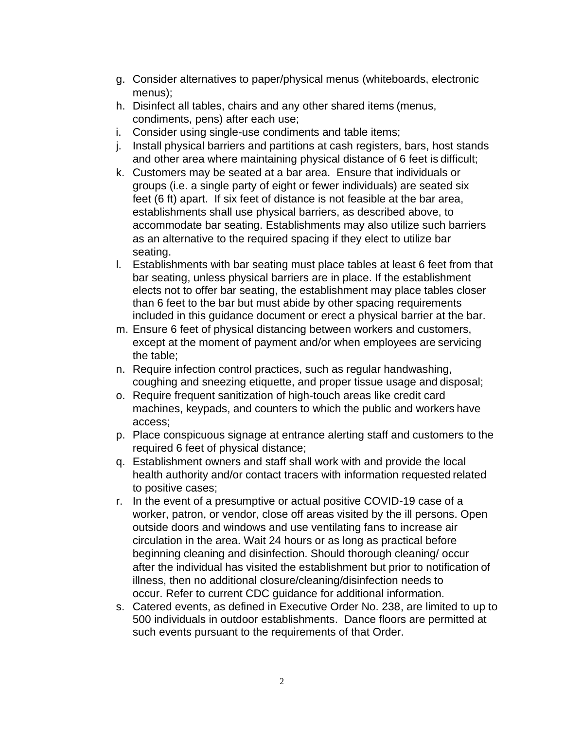- g. Consider alternatives to paper/physical menus (whiteboards, electronic menus);
- h. Disinfect all tables, chairs and any other shared items (menus, condiments, pens) after each use;
- i. Consider using single-use condiments and table items;
- j. Install physical barriers and partitions at cash registers, bars, host stands and other area where maintaining physical distance of 6 feet is difficult;
- k. Customers may be seated at a bar area. Ensure that individuals or groups (i.e. a single party of eight or fewer individuals) are seated six feet (6 ft) apart. If six feet of distance is not feasible at the bar area, establishments shall use physical barriers, as described above, to accommodate bar seating. Establishments may also utilize such barriers as an alternative to the required spacing if they elect to utilize bar seating.
- l. Establishments with bar seating must place tables at least 6 feet from that bar seating, unless physical barriers are in place. If the establishment elects not to offer bar seating, the establishment may place tables closer than 6 feet to the bar but must abide by other spacing requirements included in this guidance document or erect a physical barrier at the bar.
- m. Ensure 6 feet of physical distancing between workers and customers, except at the moment of payment and/or when employees are servicing the table;
- n. Require infection control practices, such as regular handwashing, coughing and sneezing etiquette, and proper tissue usage and disposal;
- o. Require frequent sanitization of high-touch areas like credit card machines, keypads, and counters to which the public and workers have access;
- p. Place conspicuous signage at entrance alerting staff and customers to the required 6 feet of physical distance;
- q. Establishment owners and staff shall work with and provide the local health authority and/or contact tracers with information requested related to positive cases;
- r. In the event of a presumptive or actual positive COVID-19 case of a worker, patron, or vendor, close off areas visited by the ill persons. Open outside doors and windows and use ventilating fans to increase air circulation in the area. Wait 24 hours or as long as practical before beginning cleaning and disinfection. Should thorough cleaning/ occur after the individual has visited the establishment but prior to notification of illness, then no additional closure/cleaning/disinfection needs to occur. Refer to current CDC guidance for additional information.
- s. Catered events, as defined in Executive Order No. 238, are limited to up to 500 individuals in outdoor establishments. Dance floors are permitted at such events pursuant to the requirements of that Order.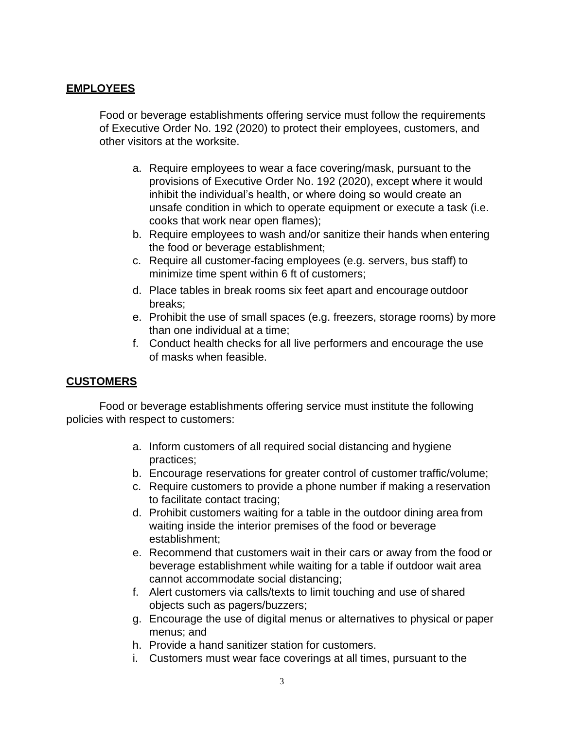### **EMPLOYEES**

Food or beverage establishments offering service must follow the requirements of Executive Order No. 192 (2020) to protect their employees, customers, and other visitors at the worksite.

- a. Require employees to wear a face covering/mask, pursuant to the provisions of Executive Order No. 192 (2020), except where it would inhibit the individual's health, or where doing so would create an unsafe condition in which to operate equipment or execute a task (i.e. cooks that work near open flames);
- b. Require employees to wash and/or sanitize their hands when entering the food or beverage establishment;
- c. Require all customer-facing employees (e.g. servers, bus staff) to minimize time spent within 6 ft of customers;
- d. Place tables in break rooms six feet apart and encourage outdoor breaks;
- e. Prohibit the use of small spaces (e.g. freezers, storage rooms) by more than one individual at a time;
- f. Conduct health checks for all live performers and encourage the use of masks when feasible.

#### **CUSTOMERS**

Food or beverage establishments offering service must institute the following policies with respect to customers:

- a. Inform customers of all required social distancing and hygiene practices;
- b. Encourage reservations for greater control of customer traffic/volume;
- c. Require customers to provide a phone number if making a reservation to facilitate contact tracing;
- d. Prohibit customers waiting for a table in the outdoor dining area from waiting inside the interior premises of the food or beverage establishment;
- e. Recommend that customers wait in their cars or away from the food or beverage establishment while waiting for a table if outdoor wait area cannot accommodate social distancing;
- f. Alert customers via calls/texts to limit touching and use of shared objects such as pagers/buzzers;
- g. Encourage the use of digital menus or alternatives to physical or paper menus; and
- h. Provide a hand sanitizer station for customers.
- i. Customers must wear face coverings at all times, pursuant to the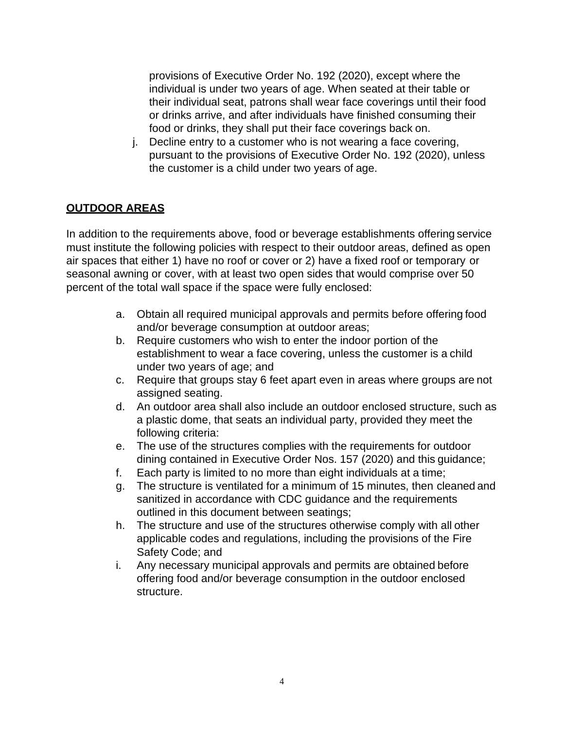provisions of Executive Order No. 192 (2020), except where the individual is under two years of age. When seated at their table or their individual seat, patrons shall wear face coverings until their food or drinks arrive, and after individuals have finished consuming their food or drinks, they shall put their face coverings back on.

j. Decline entry to a customer who is not wearing a face covering, pursuant to the provisions of Executive Order No. 192 (2020), unless the customer is a child under two years of age.

## **OUTDOOR AREAS**

In addition to the requirements above, food or beverage establishments offering service must institute the following policies with respect to their outdoor areas, defined as open air spaces that either 1) have no roof or cover or 2) have a fixed roof or temporary or seasonal awning or cover, with at least two open sides that would comprise over 50 percent of the total wall space if the space were fully enclosed:

- a. Obtain all required municipal approvals and permits before offering food and/or beverage consumption at outdoor areas;
- b. Require customers who wish to enter the indoor portion of the establishment to wear a face covering, unless the customer is a child under two years of age; and
- c. Require that groups stay 6 feet apart even in areas where groups are not assigned seating.
- d. An outdoor area shall also include an outdoor enclosed structure, such as a plastic dome, that seats an individual party, provided they meet the following criteria:
- e. The use of the structures complies with the requirements for outdoor dining contained in Executive Order Nos. 157 (2020) and this guidance;
- f. Each party is limited to no more than eight individuals at a time;
- g. The structure is ventilated for a minimum of 15 minutes, then cleaned and sanitized in accordance with CDC guidance and the requirements outlined in this document between seatings;
- h. The structure and use of the structures otherwise comply with all other applicable codes and regulations, including the provisions of the Fire Safety Code; and
- i. Any necessary municipal approvals and permits are obtained before offering food and/or beverage consumption in the outdoor enclosed structure.